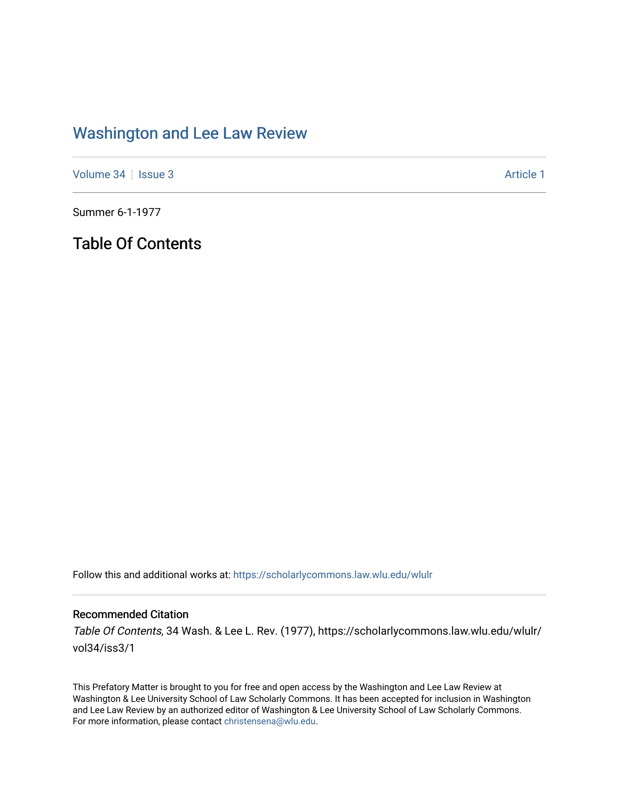## [Washington and Lee Law Review](https://scholarlycommons.law.wlu.edu/wlulr)

[Volume 34](https://scholarlycommons.law.wlu.edu/wlulr/vol34) | [Issue 3](https://scholarlycommons.law.wlu.edu/wlulr/vol34/iss3) Article 1

Summer 6-1-1977

Table Of Contents

Follow this and additional works at: [https://scholarlycommons.law.wlu.edu/wlulr](https://scholarlycommons.law.wlu.edu/wlulr?utm_source=scholarlycommons.law.wlu.edu%2Fwlulr%2Fvol34%2Fiss3%2F1&utm_medium=PDF&utm_campaign=PDFCoverPages) 

## Recommended Citation

Table Of Contents, 34 Wash. & Lee L. Rev. (1977), https://scholarlycommons.law.wlu.edu/wlulr/ vol34/iss3/1

This Prefatory Matter is brought to you for free and open access by the Washington and Lee Law Review at Washington & Lee University School of Law Scholarly Commons. It has been accepted for inclusion in Washington and Lee Law Review by an authorized editor of Washington & Lee University School of Law Scholarly Commons. For more information, please contact [christensena@wlu.edu](mailto:christensena@wlu.edu).